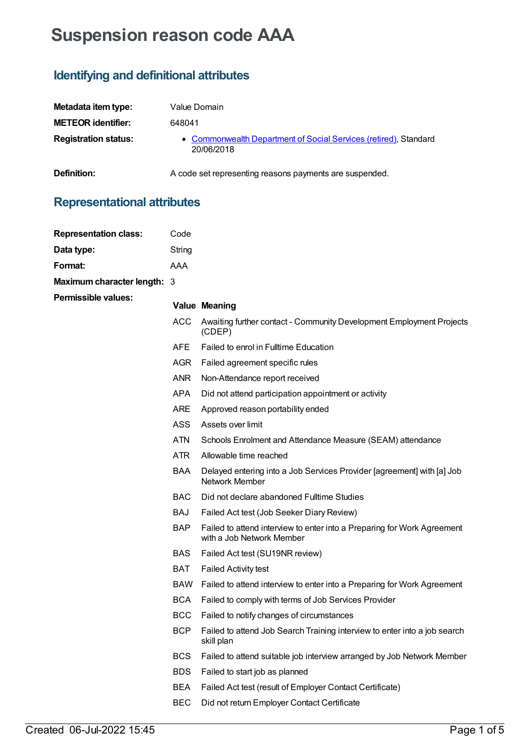# **Suspension reason code AAA**

## **Identifying and definitional attributes**

| Metadata item type:         | Value Domain                                                                   |
|-----------------------------|--------------------------------------------------------------------------------|
| <b>METEOR identifier:</b>   | 648041                                                                         |
| <b>Registration status:</b> | • Commonwealth Department of Social Services (retired), Standard<br>20/06/2018 |
| Definition:                 | A code set representing reasons payments are suspended.                        |

### **Representational attributes**

| <b>Representation class:</b> | Code       |                                                                                                      |
|------------------------------|------------|------------------------------------------------------------------------------------------------------|
| Data type:                   | String     |                                                                                                      |
| Format:                      | AAA        |                                                                                                      |
| Maximum character length: 3  |            |                                                                                                      |
| <b>Permissible values:</b>   |            | <b>Value Meaning</b>                                                                                 |
|                              | ACC        | Awaiting further contact - Community Development Employment Projects<br>(CDEP)                       |
|                              | <b>AFE</b> | Failed to enrol in Fulltime Education                                                                |
|                              | <b>AGR</b> | Failed agreement specific rules                                                                      |
|                              | <b>ANR</b> | Non-Attendance report received                                                                       |
|                              | <b>APA</b> | Did not attend participation appointment or activity                                                 |
|                              | <b>ARE</b> | Approved reason portability ended                                                                    |
|                              | <b>ASS</b> | Assets over limit                                                                                    |
|                              | <b>ATN</b> | Schools Enrolment and Attendance Measure (SEAM) attendance                                           |
|                              | <b>ATR</b> | Allowable time reached                                                                               |
|                              | <b>BAA</b> | Delayed entering into a Job Services Provider [agreement] with [a] Job<br>Network Member             |
|                              | <b>BAC</b> | Did not declare abandoned Fulltime Studies                                                           |
|                              | <b>BAJ</b> | Failed Act test (Job Seeker Diary Review)                                                            |
|                              | <b>BAP</b> | Failed to attend interview to enter into a Preparing for Work Agreement<br>with a Job Network Member |
|                              | <b>BAS</b> | Failed Act test (SU19NR review)                                                                      |
|                              | <b>BAT</b> | <b>Failed Activity test</b>                                                                          |
|                              | <b>BAW</b> | Failed to attend interview to enter into a Preparing for Work Agreement                              |
|                              | <b>BCA</b> | Failed to comply with terms of Job Services Provider                                                 |
|                              | <b>BCC</b> | Failed to notify changes of circumstances                                                            |
|                              | <b>BCP</b> | Failed to attend Job Search Training interview to enter into a job search<br>skill plan              |
|                              | <b>BCS</b> | Failed to attend suitable job interview arranged by Job Network Member                               |
|                              | <b>BDS</b> | Failed to start job as planned                                                                       |
|                              | <b>BEA</b> | Failed Act test (result of Employer Contact Certificate)                                             |
|                              | <b>BEC</b> | Did not return Employer Contact Certificate                                                          |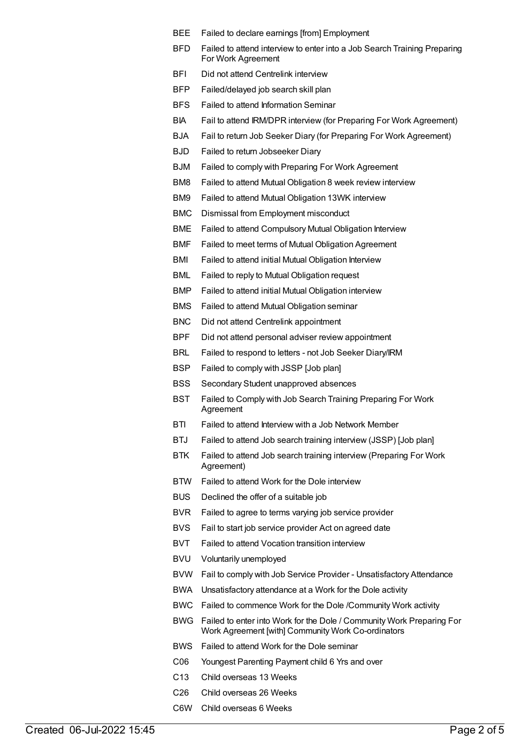- BEE Failed to declare earnings [from] Employment
- BFD Failed to attend interview to enter into a Job Search Training Preparing For Work Agreement
- BFI Did not attend Centrelink interview
- BFP Failed/delayed job search skill plan
- BFS Failed to attend Information Seminar
- BIA Fail to attend IRM/DPR interview (for Preparing For Work Agreement)
- BJA Fail to return Job Seeker Diary (for Preparing For Work Agreement)
- BJD Failed to return Jobseeker Diary
- BJM Failed to comply with Preparing For Work Agreement
- BM8 Failed to attend Mutual Obligation 8 week review interview
- BM9 Failed to attend Mutual Obligation 13WK interview
- BMC Dismissal from Employment misconduct
- BME Failed to attend Compulsory Mutual Obligation Interview
- BMF Failed to meet terms of Mutual Obligation Agreement
- BMI Failed to attend initial Mutual Obligation Interview
- BML Failed to reply to Mutual Obligation request
- BMP Failed to attend initial Mutual Obligation interview
- BMS Failed to attend Mutual Obligation seminar
- BNC Did not attend Centrelink appointment
- BPF Did not attend personal adviser review appointment
- BRL Failed to respond to letters not Job Seeker Diary/IRM
- BSP Failed to comply with JSSP [Job plan]
- BSS Secondary Student unapproved absences
- BST Failed to Comply with Job Search Training Preparing For Work **A**greement
- BTI Failed to attend Interview with a Job Network Member
- BTJ Failed to attend Job search training interview (JSSP) [Job plan]
- BTK Failed to attend Job search training interview (Preparing For Work Agreement)
- BTW Failed to attend Work for the Dole interview
- BUS Declined the offer of a suitable job
- BVR Failed to agree to terms varying job service provider
- BVS Fail to start job service provider Act on agreed date
- BVT Failed to attend Vocation transition interview
- BVU Voluntarily unemployed
- BVW Fail to comply with Job Service Provider Unsatisfactory Attendance
- BWA Unsatisfactory attendance at a Work for the Dole activity
- BWC Failed to commence Work for the Dole /Community Work activity
- BWG Failed to enter into Work for the Dole / Community Work Preparing For Work Agreement [with] Community Work Co-ordinators
- BWS Failed to attend Work for the Dole seminar
- C06 Youngest Parenting Payment child 6 Yrs and over
- C13 Child overseas 13 Weeks
- C26 Child overseas 26 Weeks
- C6W Child overseas 6 Weeks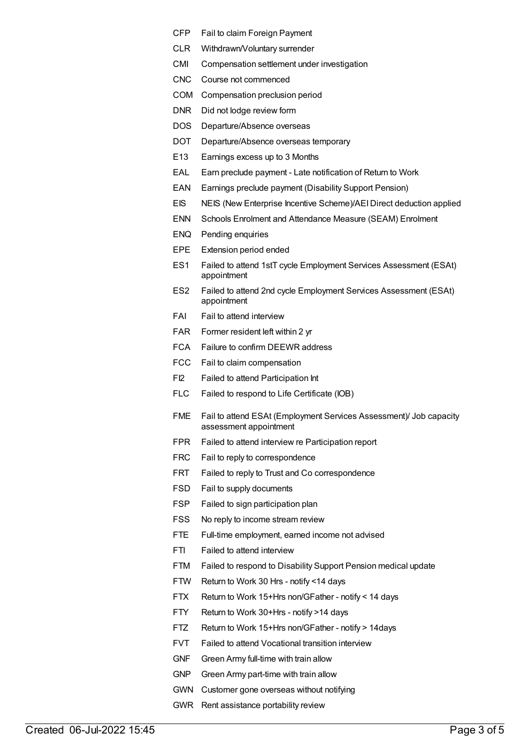- CFP Fail to claim Foreign Payment
- CLR Withdrawn/Voluntary surrender
- CMI Compensation settlement under investigation
- CNC Course not commenced
- COM Compensation preclusion period
- DNR Did not lodge review form
- DOS Departure/Absence overseas
- DOT Departure/Absence overseas temporary
- E13 Earnings excess up to 3 Months
- EAL Earn preclude payment Late notification of Return to Work
- EAN Earnings preclude payment (Disability Support Pension)
- EIS NEIS (New Enterprise Incentive Scheme)/AEIDirect deduction applied
- ENN Schools Enrolment and Attendance Measure (SEAM) Enrolment
- ENQ Pending enquiries
- EPE Extension period ended
- ES1 Failed to attend 1stT cycle Employment Services Assessment (ESAt) appointment
- ES2 Failed to attend 2nd cycle Employment Services Assessment (ESAt) appointment
- FAI Fail to attend interview
- FAR Former resident left within 2 yr
- FCA Failure to confirm DEEWR address
- FCC Fail to claim compensation
- FI2 Failed to attend Participation Int
- FLC Failed to respond to Life Certificate (IOB)
- FME Fail to attend ESAt (Employment Services Assessment)/ Job capacity assessment appointment
- FPR Failed to attend interview re Participation report
- FRC Fail to reply to correspondence
- FRT Failed to reply to Trust and Co correspondence
- FSD Fail to supply documents
- FSP Failed to sign participation plan
- FSS No reply to income stream review
- FTE Full-time employment, earned income not advised
- FTI Failed to attend interview
- FTM Failed to respond to Disability Support Pension medical update
- FTW Return to Work 30 Hrs notify <14 days
- FTX Return to Work 15+Hrs non/GFather notify < 14 days
- FTY Return to Work 30+Hrs notify >14 days
- FTZ Return to Work 15+Hrs non/GFather notify > 14days
- FVT Failed to attend Vocational transition interview
- GNF Green Army full-time with train allow
- GNP Green Army part-time with train allow
- GWN Customer gone overseas without notifying
- GWR Rent assistance portability review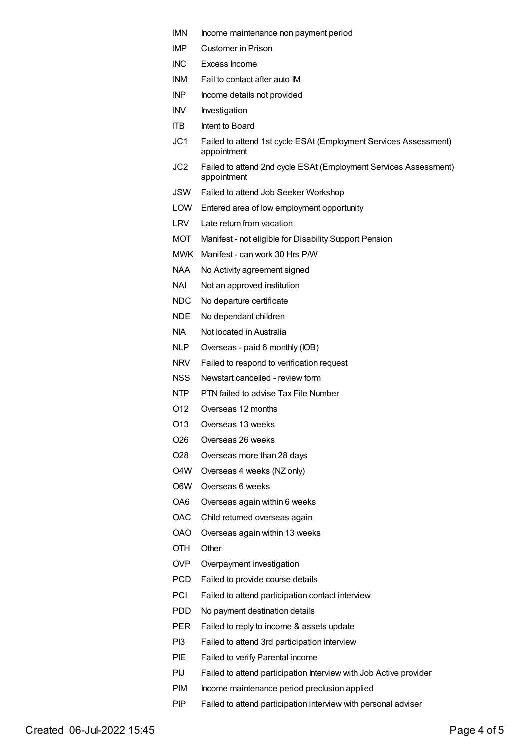- IMN Income maintenance non payment period
- IMP Customer in Prison
- INC Excess Income
- INM Fail to contact after auto IM
- INP Income details not provided
- INV Investigation
- ITB Intent to Board
- JC1 Failed to attend 1st cycle ESAt (Employment Services Assessment) appointment
- JC2 Failed to attend 2nd cycle ESAt (Employment Services Assessment) appointment
- JSW Failed to attend Job Seeker Workshop
- LOW Entered area of low employment opportunity
- LRV Late return from vacation
- MOT Manifest not eligible for Disability Support Pension
- MWK Manifest can work 30 Hrs P/W
- NAA No Activity agreement signed
- NAI Not an approved institution
- NDC No departure certificate
- NDE No dependant children
- NIA Not located in Australia
- NLP Overseas paid 6 monthly (IOB)
- NRV Failed to respond to verification request
- NSS Newstart cancelled review form
- NTP PTN failed to advise Tax File Number
- O12 Overseas 12 months
- O13 Overseas 13 weeks
- O26 Overseas 26 weeks
- O28 Overseas more than 28 days
- O4W Overseas 4 weeks (NZ only)
- O6W Overseas 6 weeks
- OA6 Overseas again within 6 weeks
- OAC Child returned overseas again
- OAO Overseas again within 13 weeks
- OTH Other
- OVP Overpayment investigation
- PCD Failed to provide course details
- PCI Failed to attend participation contact interview
- PDD No payment destination details
- PER Failed to reply to income & assets update
- PI3 Failed to attend 3rd participation interview
- PIE Failed to verify Parental income
- PIJ Failed to attend participation Interview with Job Active provider
- PIM Income maintenance period preclusion applied
- PIP Failed to attend participation interview with personal adviser